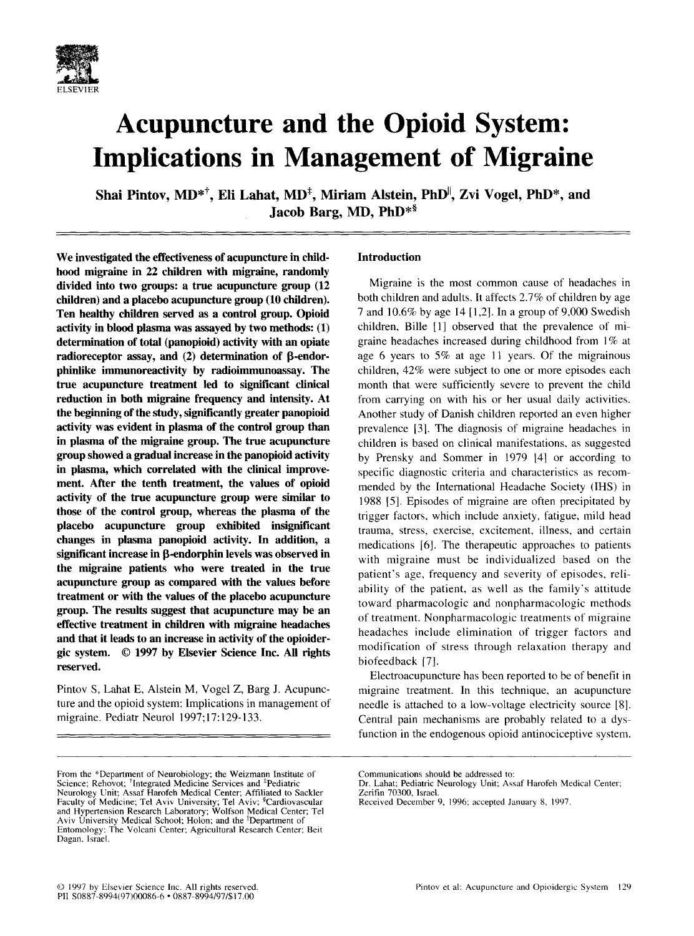

# **Acupuncture and the Opioid System: Implications in Management of Migraine**

Shai Pintov, MD<sup>\*†</sup>, Eli Lahat, MD<sup>‡</sup>, Miriam Alstein, PhD<sup>||</sup>, Zvi Vogel, PhD<sup>\*</sup>, and Jacob Barg, MD, PhD<sup>\*\$</sup>

**We investigated the effectiveness of acupuncture in childhood migraine in 22 children with migraine, randomly divided into two groups: a true acupuncture group (12 children) and a placebo acupuncture group (10 children). Ten healthy children served as a control group. Opioid activity in blood plasma was assayed by two methods: (1) determination of total (panopioid) activity with an opiate**  radioreceptor assay, and (2) determination of  $\beta$ -endor**phinlike immunoreactivity by radioimmunoassay. The true acupuncture treatment led to significant clinical reduction in both migraine frequency and intensity. At the beginning of the study, significantly greater panopioid activity was evident in plasma of the control group than in plasma of the migraine group. The true acupuncture group showed a gradual increase in the panopioid activity in plasma, which correlated with the clinical improvement. After the tenth treatment, the values of opioid activity of the true acupuncture group were similar to those of the control group, whereas the plasma of the placebo acupuncture group exhibited insignificant changes in plasma panopioid activity. In addition, a**  significant increase in **B**-endorphin levels was observed in **the migraine patients who were treated in the true acupuncture group as compared with the values before treatment or with the values of the placebo acupuncture group. The results suggest that acupuncture may be an effective treatment in children with migraine headaches and that it leads to an increase in activity of the opioidergic system. © 1997 by Elsevier Science Inc. All rights reserved.** 

Pintov S, Lahat E, Alstein M, Vogel Z, Barg J. Acupuncture and the opioid system: Implications in management of migraine. Pediatr Neurol 1997; 17:129-133.

# **Introduction**

Migraine is the most common cause of headaches in both children and adults, It affects 2.7% of children by age 7 and 10.6% by age 14 [1,2]. In a group of 9,000 Swedish children, Bille [1] observed that the prevalence of migraine headaches increased during childhood from 1% at age 6 years to 5% at age 11 years. Of the migrainous children, 42% were subject to one or more episodes each month that were sufficiently severe to prevent the child from carrying on with his or her usual daily activities. Another study of Danish children reported an even higher prevalence [3]. The diagnosis of migraine headaches in children is based on clinical manifestations, as suggested by Prensky and Sommer in 1979 [4] or according to specific diagnostic criteria and characteristics as recommended by the International Headache Society (IHS) in 1988 [5]. Episodes of migraine are often precipitated by trigger factors, which include anxiety, fatigue, mild head trauma, stress, exercise, excitement, illness, and certain medications [6]. The therapeutic approaches to patients with migraine must be individualized based on the patient's age, frequency and severity of episodes, reliability of the patient, as well as the family's attitude toward pharmacologic and nonpharmacologic methods of treatment. Nonpharmacologic treatments of migraine headaches include elimination of trigger factors and modification of stress through relaxation therapy and biofeedback [7].

Electroacupuncture has been reported to be of benefit in migraine treatment. In this technique, an acupuncture needle is attached to a low-voltage electricity source [8]. Central pain mechanisms are probably related to a dysfunction in the endogenous opioid antinociceptive system.

From the \*Department of Neurobiology; the Weizmann Institute of Science; Rehovot; \*Integrated Medicine Services and \*Pediatric Neurology Unit; Assaf Harofeh Medical Center; Affiliated to Sackler Faculty of Medicine; Tel Aviv University; Tel Aviv; <sup>§</sup>Cardiovascular and Hypertension Research Laboratory; Wolfson Medical Center; Tel Aviv University Medical School; Holon; and the <sup>II</sup>Department of Entomology: The Volcani Center; Agricultural Research Center; Beit Dagan, Israel.

Communications should be addressed **to:** 

Dr. Lahat; Pediatric Neurology Unit: Assaf Harofeh Medical Center; Zerifin 70300, lsrael.

Received December 9, 1996; accepted January 8, 1997.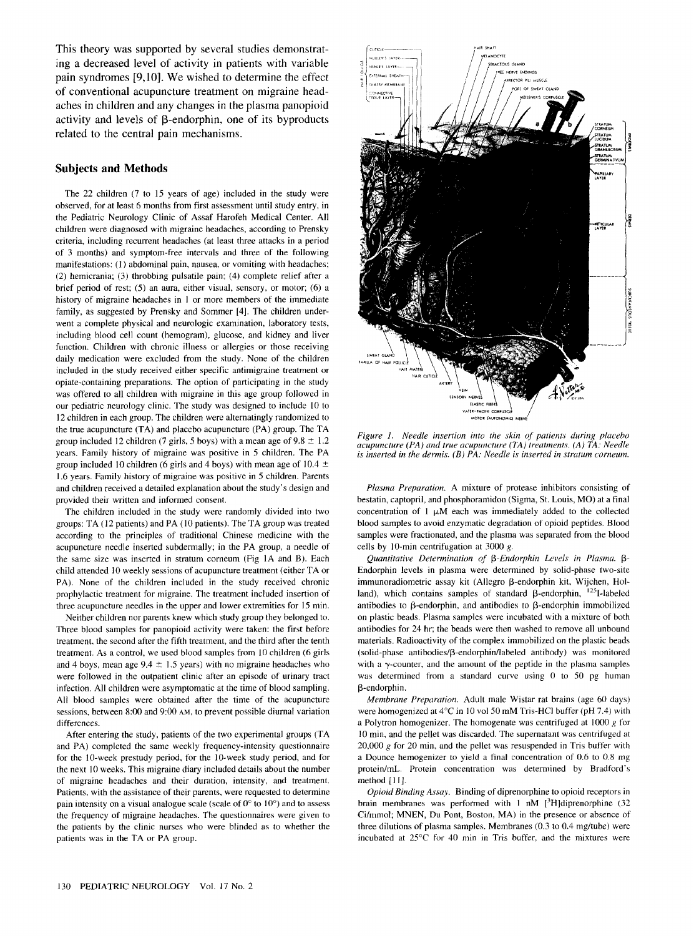This theory was supported by several studies demonstrating a decreased level of activity in patients with variable pain syndromes [9,10]. We wished to determine the effect of conventional acupuncture treatment on migraine headaches in children and any changes in the plasma panopioid activity and levels of  $\beta$ -endorphin, one of its byproducts related to the central pain mechanisms.

## **Subjects and Methods**

The 22 children (7 to 15 years of age) included in the study were observed, for at least 6 months from first assessment until study entry, in the Pediatric Neurology Clinic of Assaf Harofeh Medical Center. All children were diagnosed with migraine headaches, according to Prensky criteria, including recurrent headaches (at least three attacks in a period of 3 months) and symptom-free intervals and three of the following manifestations: (1) abdominal pain, nausea, or vomiting with headaches; (2) hemicrania; (3) throbbing pulsatile pain; (4) complete relief after a brief period of rest; (5) an aura, either visual, sensory, or motor; (6) a history of migraine headaches in 1 or more members of the immediate family, as suggested by Prensky and Sommer [4]. The children underwent a complete physical and neurologic examination, laboratory tests, including blood cell count (hemogram), glucose, and kidney and liver function. Children with chronic illness or allergies or those receiving daily medication were excluded from the study. None of the children included in the study received either specific antimigraine treatment or opiate-containing preparations. The option of participating in the study was offered to all children with migraine in this age group followed in our pediatric neurology clinic. The study was designed to include 10 to 12 children in each group. The children were alternatingly randomized to the true acupuncture (TA) and placebo acupuncture (PA) group. The TA group included 12 children (7 girls, 5 boys) with a mean age of  $9.8 \pm 1.2$ years. Family history of migraine was positive in 5 children. The PA group included 10 children (6 girls and 4 boys) with mean age of 10.4  $\pm$ 1.6 years. Family history of migraine was positive in 5 children. Parents and children received a detailed explanation about the study's design and provided their written and informed consent.

The children included in the study were randomly divided into two groups: TA (12 patients) and PA (10 patients). The TA group was treated according to the principles of traditional Chinese medicine with the acupuncture needle inserted subdermally; in the PA group, a needle of the same size was inserted in stratum corneum (Fig 1A and B). Each child attended 10 weekly sessions of acupuncture treatment (either TA or PA). None of the children included in the study received chronic prophylactic treatment for migraine. The treatment included insertion of three acupuncture needles in the upper and lower extremities for 15 min.

Neither children nor parents knew which study group they belonged to. Three blood samples for panopioid activity were taken: the first before treatment, the second after the fifth treatment, and the third after the tenth treatment. As a control, we used blood samples from 10 children (6 girls and 4 boys, mean age  $9.4 \pm 1.5$  years) with no migraine headaches who were followed in the outpatient clinic after an episode of urinary tract infection. All children were asymptomatic at the time of blood sampling. All blood samples were obtained after the time of the acupuncture sessions, between 8:00 and 9:00 AM, to prevent possible diurnal variation differences.

After entering the study, patients of the two experimental groups (TA and PA) completed the same weekly frequency-intensity questionnaire for the 10-week prestudy period, for the 10-week study period, and for the next 10 weeks. This migraine diary included details about the number of migraine headaches and their duration, intensity, and treatment. Patients, with the assistance of their parents, were requested to determine pain intensity on a visual analogue scale (scale of  $0^{\circ}$  to  $10^{\circ}$ ) and to assess the frequency of migraine headaches. The questionnaires were given to the patients by the clinic nurses who were blinded as to whether the patients was in the TA or PA group.



*Figure 1. Needle insertion into the skin of patients during placebo acupuncture (PA ) and true acupuncture (TA ) treatments. (A ) TA: Needle is inserted in the dermis. (B) PA: Needle is inserted in stratum corneum.* 

*Plasma Preparation.* A mixture of protease inhibitors consisting of bestatin, captopril, and phosphoramidon (Sigma, St. Louis, MO) at a final concentration of  $1 \mu M$  each was immediately added to the collected blood samples to avoid enzymatic degradation of opioid peptides. Blood samples were fractionated, and the plasma was separated from the blood cells by 10-min centrifugation at 3000 g.

Quantitative Determination of β-Endorphin Levels in Plasma. β-Endorphin levels in plasma were determined by solid-phase two-site immunoradiometric assay kit (Allegro  $\beta$ -endorphin kit, Wijchen, Holland), which contains samples of standard  $\beta$ -endorphin,  $^{125}$ I-labeled antibodies to  $\beta$ -endorphin, and antibodies to  $\beta$ -endorphin immobilized on plastic beads. Plasma samples were incubated with a mixture of both antibodies for 24 hr; the beads were then washed to remove all unbound materials. Radioactivity of the complex immobilized on the plastic beads  $(solid-phase antibodies/B-endorphism/labeled antibody) was monitored$ with a  $\gamma$ -counter, and the amount of the peptide in the plasma samples was determined from a standard curve using 0 to 50 pg human  $\beta$ -endorphin.

*Membrane Preparation.* Adult male Wistar rat brains (age 60 days) were homogenized at 4°C in 10 vol 50 mM Tris-HCl buffer (pH 7.4) with a Polytron homogenizer. The homogenate was centrifuged at  $1000 g$  for 10 min, and the pellet was discarded. The supernatant was centrifuged at 20,000  $g$  for 20 min, and the pellet was resuspended in Tris buffer with a Dounce hemogenizer to yield a final concentration of 0.6 to 0.8 mg protein/mL. Protein concentration was determined by Bradford's method [11].

*Opioid Binding Assay.* Binding of diprenorphine to opioid receptors in brain membranes was performed with 1 nM  $[^3H]$ diprenorphine (32 Ci/mmol; MNEN, Du Pont, Boston, MA) in the presence or absence of three dilutions of plasma samples. Membranes (0.3 to 0.4 mg/tube) were incubated at 25°C for 40 min in Tris buffer, and the mixtures were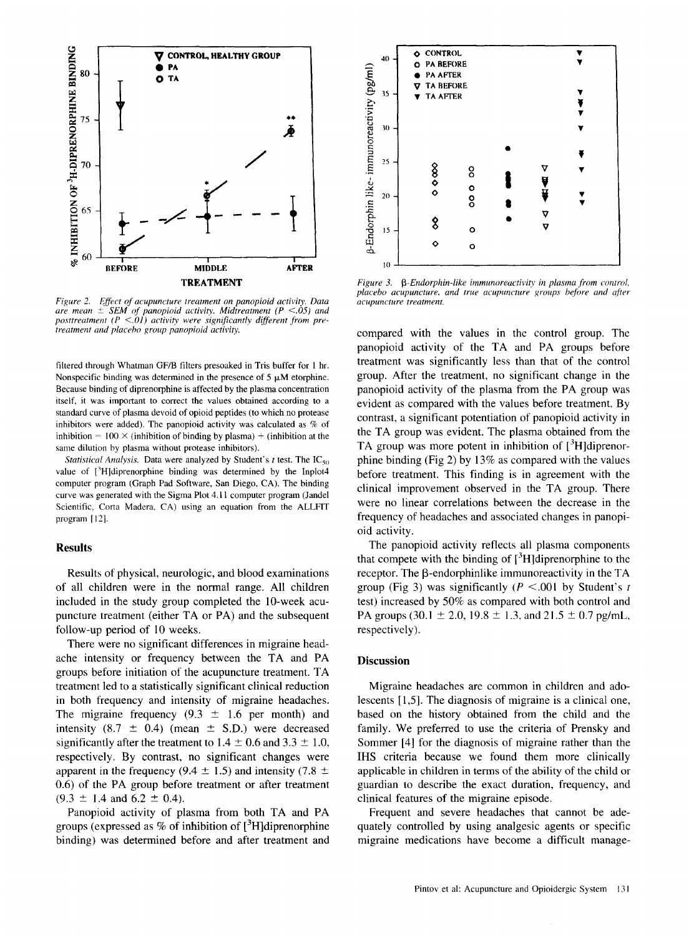

*Figure 2. ~ffect of acupuncture treatment on panopioid activity. Data are mean + SEM of panopioid activity. Midtreatment (P <.05) and posttreatment (P <.01) activity were significantly different from pretreatment and placebo group panopioid activity.* 

filtered through Whatman GF/B filters presoaked in Tris buffer for 1 hr. Nonspecific binding was determined in the presence of 5  $\mu$ M etorphine. Because binding of diprenorphine is affected by the plasma concentration itself, it was important to correct the values obtained according to a standard curve of plasma devoid of opioid peptides (to which no protease inhibitors were added). The panopioid activity was calculated as % of inhibition =  $100 \times$  (inhibition of binding by plasma) + (inhibition at the same dilution by plasma without protease inhibitors).

*Statistical Analysis.* Data were analyzed by Student's  $t$  test. The  $IC_{50}$ value of [3H]diprenorphine binding was determined by the Inplot4 computer program (Graph Pad Software, San Diego, CA). The binding curve was generated with the Sigma Plot 4.11 computer program (Jandel Scientific, Corta Madera, CA) using an equation from the ALLFIT program [12].

#### **Results**

Results of physical, neurologic, and blood examinations of all children were in the normal range. All children included in the study group completed the 10-week acupuncture treatment (either TA or PA) and the subsequent follow-up period of 10 weeks.

There were no significant differences in migraine headache intensity or frequency between the TA and PA groups before initiation of the acupuncture treatment. TA treatment led to a statistically significant clinical reduction in both frequency and intensity of migraine headaches. The migraine frequency  $(9.3 \pm 1.6 \text{ per month})$  and intensity (8.7  $\pm$  0.4) (mean  $\pm$  S.D.) were decreased significantly after the treatment to  $1.4 \pm 0.6$  and  $3.3 \pm 1.0$ , respectively. By contrast, no significant changes were apparent in the frequency (9.4  $\pm$  1.5) and intensity (7.8  $\pm$ 0.6) of the PA group before treatment or after treatment  $(9.3 \pm 1.4 \text{ and } 6.2 \pm 0.4).$ 

Panopioid activity of plasma from both TA and PA groups (expressed as  $%$  of inhibition of  $[{}^{3}H]$ diprenorphine binding) was determined before and after treatment and



*Figure 3. A-Endorphin-like immunoreactivity in plasma from control, placebo acupuncture, and true acupuncture groups bffore and qfter acupuncture treatment.* 

compared with the values in the control group. The panopioid activity of the TA and PA groups before treatment was significantly less than that of the control group. After the treatment, no significant change in the panopioid activity of the plasma from the PA group was evident as compared with the values before treatment. By contrast, a significant potentiation of panopioid activity in the TA group was evident. The plasma obtained from the TA group was more potent in inhibition of  $[3H]$ diprenorphine binding (Fig 2) by 13% as compared with the values before treatment. This finding is in agreement with the clinical improvement observed in the TA group. There were no linear correlations between the decrease in the frequency of headaches and associated changes in panopioid activity.

The panopioid activity reflects all plasma components that compete with the binding of  $[3H]$ diprenorphine to the receptor. The  $\beta$ -endorphinlike immunoreactivity in the TA group (Fig 3) was significantly ( $P < .001$  by Student's t test) increased by 50% as compared with both control and PA groups (30.1  $\pm$  2.0, 19.8  $\pm$  1.3, and 21.5  $\pm$  0.7 pg/mL, respectively).

## **Discussion**

Migraine headaches are common in children and adolescents [1,5]. The diagnosis of migraine is a clinical one, based on the history obtained from the child and the family. We preferred to use the criteria of Prensky and Sommer [4] for the diagnosis of migraine rather than the IHS criteria because we found them more clinically applicable in children in terms of the ability of the child or guardian to describe the exact duration, frequency, and clinical features of the migraine episode.

Frequent and severe headaches that cannot be adequately controlled by using analgesic agents or specific migraine medications have become a difficult manage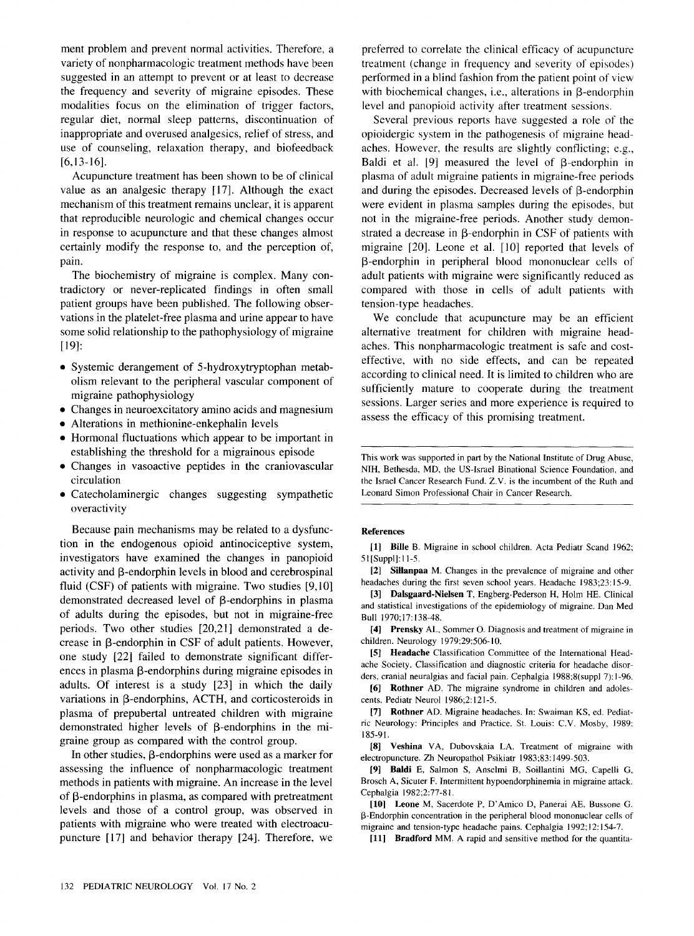ment problem and prevent normal activities. Therefore, a variety of nonpharmacologic treatment methods have been suggested in an attempt to prevent or at least to decrease the frequency and severity of migraine episodes. These modalities focus on the elimination of trigger factors, regular diet, normal sleep patterns, discontinuation of inappropriate and overused analgesics, relief of stress, and use of counseling, relaxation therapy, and biofeedback [6,13-16].

Acupuncture treatment has been shown to be of clinical value as an analgesic therapy [17]. Although the exact mechanism of this treatment remains unclear, it is apparent that reproducible neurologic and chemical changes occur in response to acupuncture and that these changes almost certainly modify the response to, and the perception of, pain.

The biochemistry of migraine is complex. Many contradictory or never-replicated findings in often small patient groups have been published. The following observations in the platelet-free plasma and urine appear to have some solid relationship to the pathophysiology of migraine [19]:

- Systemic derangement of 5-hydroxytryptophan metabolism relevant to the peripheral vascular component of migraine pathophysiology
- Changes in neuroexcitatory amino acids and magnesium
- Alterations in methionine-enkephalin levels
- Hormonal fluctuations which appear to be important in establishing the threshold for a migrainous episode
- Changes in vasoactive peptides in the craniovascular circulation
- Catecholaminergic changes suggesting sympathetic overactivity

Because pain mechanisms may be related to a dysfunction in the endogenous opioid antinociceptive system, investigators have examined the changes in panopioid activity and  $\beta$ -endorphin levels in blood and cerebrospinal fluid (CSF) of patients with migraine. Two studies [9,10] demonstrated decreased level of  $\beta$ -endorphins in plasma of adults during the episodes, but not in migraine-free periods. Two other studies [20,21] demonstrated a decrease in  $\beta$ -endorphin in CSF of adult patients. However, one study [22] failed to demonstrate significant differences in plasma  $\beta$ -endorphins during migraine episodes in adults. Of interest is a study [23] in which the daily variations in  $\beta$ -endorphins, ACTH, and corticosteroids in plasma of prepubertal untreated children with migraine demonstrated higher levels of  $\beta$ -endorphins in the migraine group as compared with the control group.

In other studies,  $\beta$ -endorphins were used as a marker for assessing the influence of nonpharmacologic treatment methods in patients with migraine. An increase in the level of  $\beta$ -endorphins in plasma, as compared with pretreatment levels and those of a control group, was observed in patients with migraine who were treated with electroacupuncture [17] and behavior therapy [24]. Therefore, we preferred to correlate the clinical efficacy of acupuncture treatment (change in frequency and severity of episodes) performed in a blind fashion from the patient point of view with biochemical changes, i.e., alterations in  $\beta$ -endorphin level and panopioid activity after treatment sessions.

Several previous reports have suggested a role of the opioidergic system in the pathogenesis of migraine headaches. However, the results are slightly conflicting; e.g., Baldi et al.  $[9]$  measured the level of  $\beta$ -endorphin in plasma of adult migraine patients in migraine-free periods and during the episodes. Decreased levels of  $\beta$ -endorphin were evident in plasma samples during the episodes, but not in the migraine-free periods. Another study demonstrated a decrease in  $\beta$ -endorphin in CSF of patients with migraine [20]. Leone et al. [10] reported that levels of 13-endorphin in peripheral blood mononuclear cells of adult patients with migraine were significantly reduced as compared with those in cells of adult patients with tension-type headaches.

We conclude that acupuncture may be an efficient alternative treatment for children with migraine headaches. This nonpharmacologic treatment is safe and costeffective, with no side effects, and can be repeated according to clinical need. It is limited to children who are sufficiently mature to cooperate during the treatment sessions. Larger series and more experience is required to assess the efficacy of this promising treatment.

This work was supported in part by the National Institute of Drug Abuse, NIH, Bethesda, MD, the US-Israel Binational Science Foundation, and the Israel Cancer Research Fund. Z.V. is the incumbent of the Ruth and Leonard Simon Professional Chair in Cancer Research.

### **References**

[1] Bille B. Migraine in school children. Acta Pediatr Scand 1962; 51 [Suppl]: 11-5.

[2] Sillanpaa M. Changes in the prevalence of migraine and other headaches during the first seven school years. Headache 1983;23:15-9.

[3] Dalsgaard-Nielsen T, Engberg-Pederson H, Holm HE. Clinical and statistical investigations of the epidemiology of migraine. Dan Med Bull 1970;17:138-48.

[4] Prensky AL, Sommer O. Diagnosis and treatment of migraine in children. Neurology 1979;29:506-10.

[5] Headache Classification Committee of the International Headache Society. Classification and diagnostic criteria for headache disorders, cranial neuralgias and facial pain. Cephalgia 1988;8(suppl 7):1-96.

[6] Rothner AD. The migraine syndrome in children and adolescents. Pediatr Neurol 1986;2:121-5.

[7] Rothner AD. Migraine headaches. In: Swaiman KS, ed. Pediatric Neurology: Principles and Practice. St. Louis: C.V. Mosby, 1989: 185-9l.

[8] Veshina VA, Dubovskaia LA. Treatment of migraine with electropuncture. Zh Neuropathol Psikiatr 1983;83:1499-503.

[9] Baldi E, Salmon S, Anselmi B, Soillantini MG, Capelli G, Brosch A, Sicuter F. Intermittent hypoendorphinemia in migraine attack. Cephalgia 1982;2:77-81.

[10] Leone M, Sacerdote P, D'Amico D, Panerai AE, Bussone G. 13-Endorphin concentration in the peripheral blood mononuclear cells of migraine and tension-type headache pains. Cephalgia 1992;12:154-7.

[11] Bradford MM. A rapid and sensitive method for the quantita-